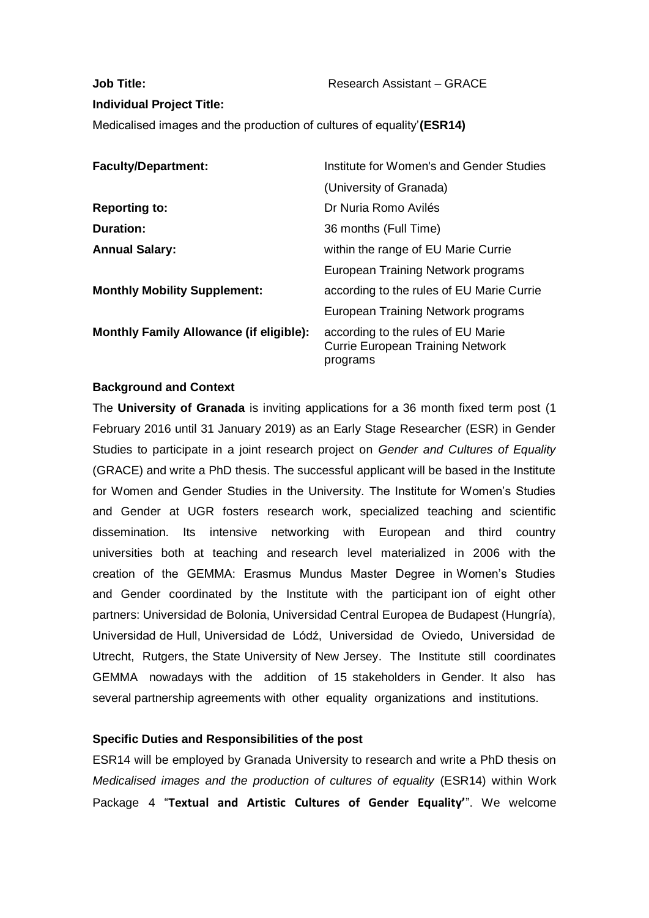## **Job Title:** Research Assistant – GRACE **Individual Project Title:** Medicalised images and the production of cultures of equality'**(ESR14)**

| <b>Faculty/Department:</b>                     | Institute for Women's and Gender Studies                                                  |
|------------------------------------------------|-------------------------------------------------------------------------------------------|
|                                                | (University of Granada)                                                                   |
| <b>Reporting to:</b>                           | Dr Nuria Romo Avilés                                                                      |
| <b>Duration:</b>                               | 36 months (Full Time)                                                                     |
| <b>Annual Salary:</b>                          | within the range of EU Marie Currie                                                       |
|                                                | European Training Network programs                                                        |
| <b>Monthly Mobility Supplement:</b>            | according to the rules of EU Marie Currie                                                 |
|                                                | European Training Network programs                                                        |
| <b>Monthly Family Allowance (if eligible):</b> | according to the rules of EU Marie<br><b>Currie European Training Network</b><br>programs |

## **Background and Context**

The **University of Granada** is inviting applications for a 36 month fixed term post (1 February 2016 until 31 January 2019) as an Early Stage Researcher (ESR) in Gender Studies to participate in a joint research project on *Gender and Cultures of Equality*  (GRACE) and write a PhD thesis. The successful applicant will be based in the Institute for Women and Gender Studies in the University. The Institute for Women's Studies and Gender at UGR fosters research work, specialized teaching and scientific dissemination. Its intensive networking with European and third country universities both at teaching and research level materialized in 2006 with the creation of the GEMMA: Erasmus Mundus Master Degree in Women's Studies and Gender coordinated by the Institute with the participant ion of eight other partners: Universidad de Bolonia, Universidad Central Europea de Budapest (Hungría), Universidad de Hull, Universidad de Lódź, Universidad de Oviedo, Universidad de Utrecht, Rutgers, the State University of New Jersey. The Institute still coordinates GEMMA nowadays with the addition of 15 stakeholders in Gender. It also has several partnership agreements with other equality organizations and institutions.

## **Specific Duties and Responsibilities of the post**

ESR14 will be employed by Granada University to research and write a PhD thesis on *Medicalised images and the production of cultures of equality* (ESR14) within Work Package 4 "**Textual and Artistic Cultures of Gender Equality'**". We welcome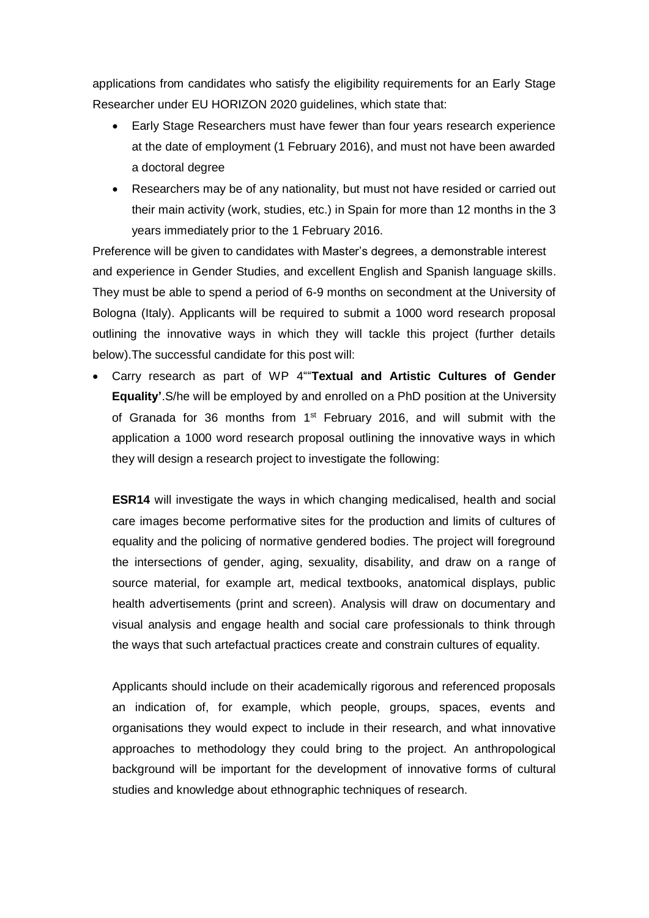applications from candidates who satisfy the eligibility requirements for an Early Stage Researcher under EU HORIZON 2020 guidelines, which state that:

- Early Stage Researchers must have fewer than four years research experience at the date of employment (1 February 2016), and must not have been awarded a doctoral degree
- Researchers may be of any nationality, but must not have resided or carried out their main activity (work, studies, etc.) in Spain for more than 12 months in the 3 years immediately prior to the 1 February 2016.

Preference will be given to candidates with Master's degrees, a demonstrable interest and experience in Gender Studies, and excellent English and Spanish language skills. They must be able to spend a period of 6-9 months on secondment at the University of Bologna (Italy). Applicants will be required to submit a 1000 word research proposal outlining the innovative ways in which they will tackle this project (further details below).The successful candidate for this post will:

 Carry research as part of WP 4""**Textual and Artistic Cultures of Gender Equality'**.S/he will be employed by and enrolled on a PhD position at the University of Granada for 36 months from 1<sup>st</sup> February 2016, and will submit with the application a 1000 word research proposal outlining the innovative ways in which they will design a research project to investigate the following:

**ESR14** will investigate the ways in which changing medicalised, health and social care images become performative sites for the production and limits of cultures of equality and the policing of normative gendered bodies. The project will foreground the intersections of gender, aging, sexuality, disability, and draw on a range of source material, for example art, medical textbooks, anatomical displays, public health advertisements (print and screen). Analysis will draw on documentary and visual analysis and engage health and social care professionals to think through the ways that such artefactual practices create and constrain cultures of equality.

Applicants should include on their academically rigorous and referenced proposals an indication of, for example, which people, groups, spaces, events and organisations they would expect to include in their research, and what innovative approaches to methodology they could bring to the project. An anthropological background will be important for the development of innovative forms of cultural studies and knowledge about ethnographic techniques of research.